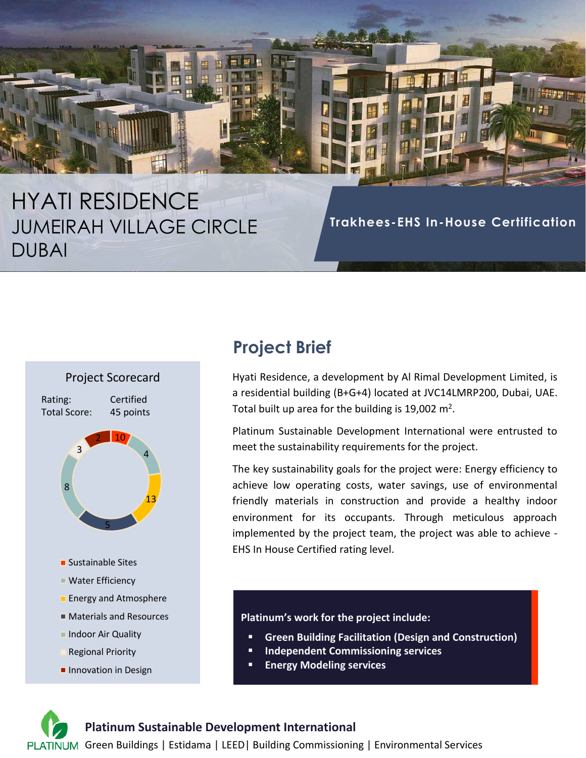# HYATI RESIDENCE JUMEIRAH VILLAGE CIRCLE DUBAI

**Trakhees-EHS In-House Certification**



- Regional Priority
- **Innovation in Design**

## **Project Brief**

Hyati Residence, a development by Al Rimal Development Limited, is a residential building (B+G+4) located at JVC14LMRP200, Dubai, UAE. Total built up area for the building is 19,002  $m^2$ .

Platinum Sustainable Development International were entrusted to meet the sustainability requirements for the project.

The key sustainability goals for the project were: Energy efficiency to achieve low operating costs, water savings, use of environmental friendly materials in construction and provide a healthy indoor environment for its occupants. Through meticulous approach implemented by the project team, the project was able to achieve - EHS In House Certified rating level.

#### **Platinum's work for the project include:**

- **Green Building Facilitation (Design and Construction)**
- **Independent Commissioning services**
- **Energy Modeling services**

#### **Platinum Sustainable Development International**

PLATINUM Green Buildings | Estidama | LEED | Building Commissioning | Environmental Services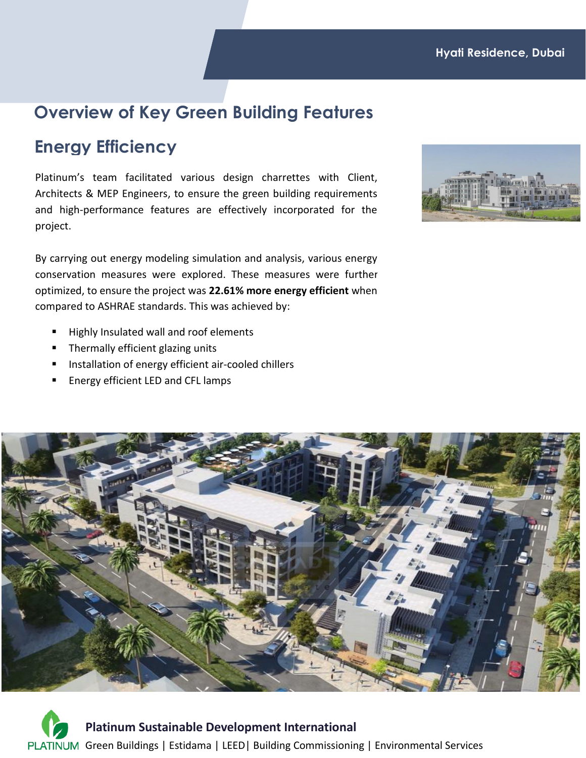### **Overview of Key Green Building Features**

### **Energy Efficiency**

Platinum's team facilitated various design charrettes with Client, Architects & MEP Engineers, to ensure the green building requirements and high-performance features are effectively incorporated for the project.

By carrying out energy modeling simulation and analysis, various energy conservation measures were explored. These measures were further optimized, to ensure the project was **22.61% more energy efficient** when compared to ASHRAE standards. This was achieved by:

- Highly Insulated wall and roof elements
- Thermally efficient glazing units
- Installation of energy efficient air-cooled chillers
- Energy efficient LED and CFL lamps



**Platinum Sustainable Development International** PLATINUM Green Buildings | Estidama | LEED | Building Commissioning | Environmental Services